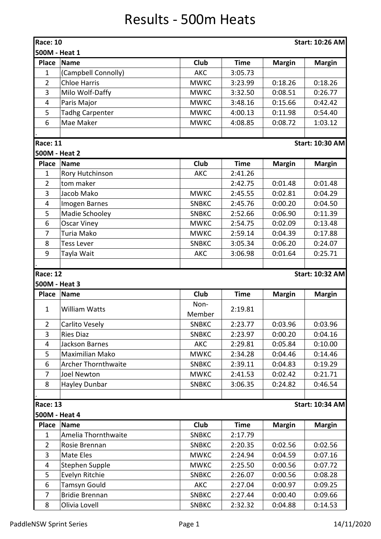## Results - 500m Heats

| <b>Race: 10</b><br>500M - Heat 1 |                            |                |             |               | <b>Start: 10:26 AM</b> |
|----------------------------------|----------------------------|----------------|-------------|---------------|------------------------|
| <b>Place</b>                     | <b>Name</b>                | Club           | <b>Time</b> | <b>Margin</b> | <b>Margin</b>          |
| 1                                | (Campbell Connolly)        | <b>AKC</b>     | 3:05.73     |               |                        |
| $\overline{2}$                   | <b>Chloe Harris</b>        | <b>MWKC</b>    | 3:23.99     | 0:18.26       | 0:18.26                |
| 3                                | Milo Wolf-Daffy            | <b>MWKC</b>    | 3:32.50     | 0:08.51       | 0:26.77                |
| 4                                | Paris Major                | <b>MWKC</b>    | 3:48.16     | 0:15.66       | 0:42.42                |
| 5                                | <b>Tadhg Carpenter</b>     | <b>MWKC</b>    | 4:00.13     | 0:11.98       | 0:54.40                |
| 6                                | Mae Maker                  | <b>MWKC</b>    | 4:08.85     | 0:08.72       | 1:03.12                |
|                                  |                            |                |             |               |                        |
| <b>Race: 11</b>                  |                            |                |             |               | <b>Start: 10:30 AM</b> |
| 500M - Heat 2                    |                            |                |             |               |                        |
| <b>Place</b>                     | <b>Name</b>                | <b>Club</b>    | <b>Time</b> | <b>Margin</b> | <b>Margin</b>          |
| 1                                | Rory Hutchinson            | <b>AKC</b>     | 2:41.26     |               |                        |
| $\overline{2}$                   | tom maker                  |                | 2:42.75     | 0:01.48       | 0:01.48                |
| 3                                | Jacob Mako                 | <b>MWKC</b>    | 2:45.55     | 0:02.81       | 0:04.29                |
| 4                                | Imogen Barnes              | <b>SNBKC</b>   | 2:45.76     | 0:00.20       | 0:04.50                |
| 5                                | Madie Schooley             | <b>SNBKC</b>   | 2:52.66     | 0:06.90       | 0:11.39                |
| 6                                | <b>Oscar Viney</b>         | <b>MWKC</b>    | 2:54.75     | 0:02.09       | 0:13.48                |
| $\overline{7}$                   | Turia Mako                 | <b>MWKC</b>    | 2:59.14     | 0:04.39       | 0:17.88                |
| 8                                | <b>Tess Lever</b>          | <b>SNBKC</b>   | 3:05.34     | 0:06.20       | 0:24.07                |
| 9                                | Tayla Wait                 | <b>AKC</b>     | 3:06.98     | 0:01.64       | 0:25.71                |
|                                  |                            |                |             |               |                        |
| <b>Race: 12</b>                  |                            |                |             |               | <b>Start: 10:32 AM</b> |
| 500M - Heat 3                    |                            |                |             |               |                        |
| <b>Place</b>                     | <b>Name</b>                | Club           | <b>Time</b> | <b>Margin</b> | <b>Margin</b>          |
| 1                                | <b>William Watts</b>       | Non-<br>Member | 2:19.81     |               |                        |
| $\overline{2}$                   | Carlito Vesely             | <b>SNBKC</b>   | 2:23.77     | 0:03.96       | 0:03.96                |
| 3                                | <b>Ries Diaz</b>           | <b>SNBKC</b>   | 2:23.97     | 0:00.20       | 0:04.16                |
| $\overline{4}$                   | <b>Jackson Barnes</b>      | AKC            | 2:29.81     | 0:05.84       | 0:10.00                |
| 5                                | Maximilian Mako            | <b>MWKC</b>    | 2:34.28     | 0:04.46       | 0:14.46                |
| 6                                | <b>Archer Thornthwaite</b> | <b>SNBKC</b>   | 2:39.11     | 0:04.83       | 0:19.29                |
| $\overline{7}$                   | <b>Joel Newton</b>         | <b>MWKC</b>    | 2:41.53     | 0:02.42       | 0:21.71                |
| 8                                | Hayley Dunbar              | <b>SNBKC</b>   | 3:06.35     | 0:24.82       | 0:46.54                |
|                                  |                            |                |             |               |                        |
| Race: 13                         |                            |                |             |               | <b>Start: 10:34 AM</b> |
|                                  | 500M - Heat 4              |                |             |               |                        |
| Place                            | <b>Name</b>                | <b>Club</b>    | <b>Time</b> | <b>Margin</b> | <b>Margin</b>          |
| 1                                | Amelia Thornthwaite        | <b>SNBKC</b>   | 2:17.79     |               |                        |
| $\overline{2}$                   | Rosie Brennan              | <b>SNBKC</b>   | 2:20.35     | 0:02.56       | 0:02.56                |
| 3                                | Mate Eles                  | <b>MWKC</b>    | 2:24.94     | 0:04.59       | 0:07.16                |
| $\overline{4}$                   | Stephen Supple             | <b>MWKC</b>    | 2:25.50     | 0:00.56       | 0:07.72                |
| 5                                | Evelyn Ritchie             | <b>SNBKC</b>   | 2:26.07     | 0:00.56       | 0:08.28                |
| 6                                | Tamsyn Gould               | <b>AKC</b>     | 2:27.04     | 0:00.97       | 0:09.25                |
| $\overline{7}$                   | <b>Bridie Brennan</b>      | <b>SNBKC</b>   | 2:27.44     | 0:00.40       | 0:09.66                |
| 8                                | Olivia Lovell              | <b>SNBKC</b>   | 2:32.32     | 0:04.88       | 0:14.53                |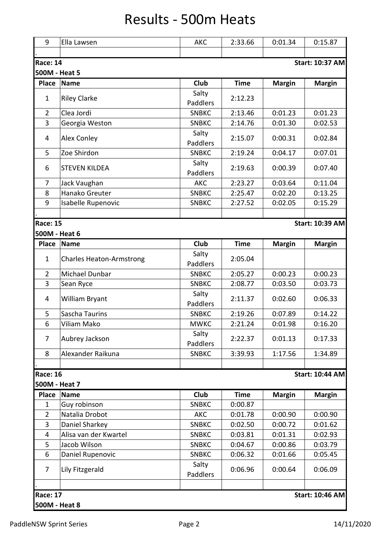## Results - 500m Heats

| 9               | Ella Lawsen                     | <b>AKC</b>        | 2:33.66     | 0:01.34       | 0:15.87                |
|-----------------|---------------------------------|-------------------|-------------|---------------|------------------------|
| <b>Race: 14</b> |                                 |                   |             |               | <b>Start: 10:37 AM</b> |
| 500M - Heat 5   |                                 |                   |             |               |                        |
| Place           | <b>Name</b>                     | Club              | <b>Time</b> | <b>Margin</b> | <b>Margin</b>          |
| $\mathbf{1}$    | <b>Riley Clarke</b>             | Salty<br>Paddlers | 2:12.23     |               |                        |
| $\overline{2}$  | Clea Jordi                      | <b>SNBKC</b>      | 2:13.46     | 0:01.23       | 0:01.23                |
| $\overline{3}$  | Georgia Weston                  | <b>SNBKC</b>      | 2:14.76     | 0:01.30       | 0:02.53                |
| 4               | Alex Conley                     | Salty<br>Paddlers | 2:15.07     | 0:00.31       | 0:02.84                |
| 5               | Zoe Shirdon                     | <b>SNBKC</b>      | 2:19.24     | 0:04.17       | 0:07.01                |
| 6               | <b>STEVEN KILDEA</b>            | Salty<br>Paddlers | 2:19.63     | 0:00.39       | 0:07.40                |
| $\overline{7}$  | Jack Vaughan                    | <b>AKC</b>        | 2:23.27     | 0:03.64       | 0:11.04                |
| 8               | Hanako Greuter                  | <b>SNBKC</b>      | 2:25.47     | 0:02.20       | 0:13.25                |
| 9               | Isabelle Rupenovic              | <b>SNBKC</b>      | 2:27.52     | 0:02.05       | 0:15.29                |
|                 |                                 |                   |             |               |                        |
| <b>Race: 15</b> |                                 |                   |             |               | <b>Start: 10:39 AM</b> |
| 500M - Heat 6   |                                 |                   |             |               |                        |
| <b>Place</b>    | <b>Name</b>                     | Club              | <b>Time</b> | <b>Margin</b> | <b>Margin</b>          |
| $\mathbf{1}$    | <b>Charles Heaton-Armstrong</b> | Salty<br>Paddlers | 2:05.04     |               |                        |
| $\overline{2}$  | Michael Dunbar                  | <b>SNBKC</b>      | 2:05.27     | 0:00.23       | 0:00.23                |
| 3               | Sean Ryce                       | <b>SNBKC</b>      | 2:08.77     | 0:03.50       | 0:03.73                |
| 4               | William Bryant                  | Salty<br>Paddlers | 2:11.37     | 0:02.60       | 0:06.33                |
| 5               | Sascha Taurins                  | <b>SNBKC</b>      | 2:19.26     | 0:07.89       | 0:14.22                |
| 6               | Viliam Mako                     | <b>MWKC</b>       | 2:21.24     | 0:01.98       | 0:16.20                |
| 7               | Aubrey Jackson                  | Salty<br>Paddlers | 2:22.37     | 0:01.13       | 0:17.33                |
| 8               | Alexander Raikuna               | <b>SNBKC</b>      | 3:39.93     | 1:17.56       | 1:34.89                |
| <b>Race: 16</b> |                                 |                   |             |               | <b>Start: 10:44 AM</b> |
| 500M - Heat 7   |                                 |                   |             |               |                        |
| <b>Place</b>    | <b>Name</b>                     | Club              | <b>Time</b> | <b>Margin</b> | <b>Margin</b>          |
| 1               | Guy robinson                    | <b>SNBKC</b>      | 0:00.87     |               |                        |
| $\overline{2}$  | Natalia Drobot                  | AKC               | 0:01.78     | 0:00.90       | 0:00.90                |
| 3               | Daniel Sharkey                  | <b>SNBKC</b>      | 0:02.50     | 0:00.72       | 0:01.62                |
| 4               | Alisa van der Kwartel           | <b>SNBKC</b>      | 0:03.81     | 0:01.31       | 0:02.93                |
| 5               | Jacob Wilson                    | <b>SNBKC</b>      | 0:04.67     | 0:00.86       | 0:03.79                |
| 6               | Daniel Rupenovic                | <b>SNBKC</b>      | 0:06.32     | 0:01.66       | 0:05.45                |
| 7               | Lily Fitzgerald                 | Salty<br>Paddlers | 0:06.96     | 0:00.64       | 0:06.09                |
| <b>Race: 17</b> |                                 |                   |             |               | <b>Start: 10:46 AM</b> |
| 500M - Heat 8   |                                 |                   |             |               |                        |